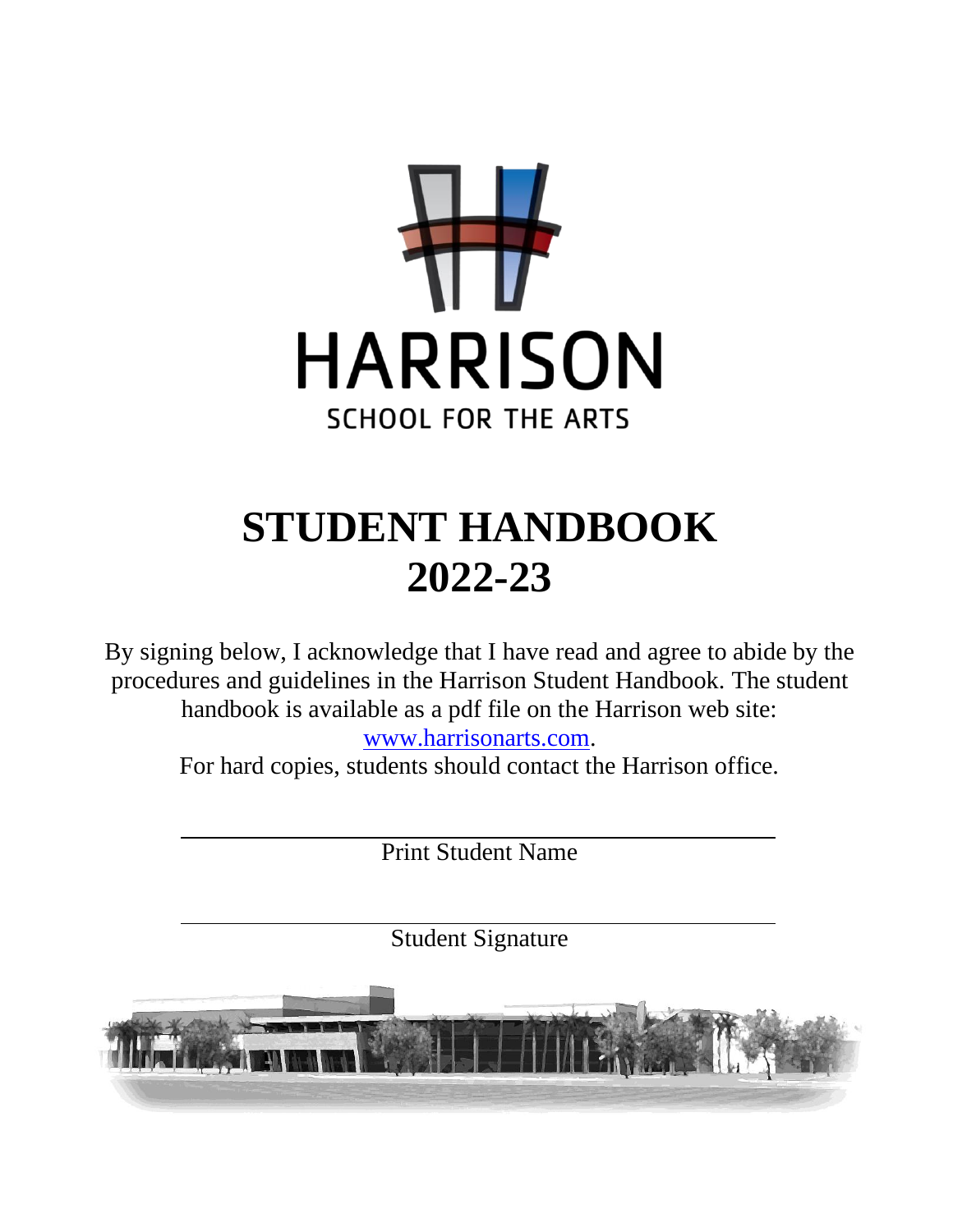

# **STUDENT HANDBOOK 2022-23**

By signing below, I acknowledge that I have read and agree to abide by the procedures and guidelines in the Harrison Student Handbook. The student handbook is available as a pdf file on the Harrison web site: [www.harrisonarts.com.](http://www.harrisonarts.com/)

For hard copies, students should contact the Harrison office.

Print Student Name

Student Signature

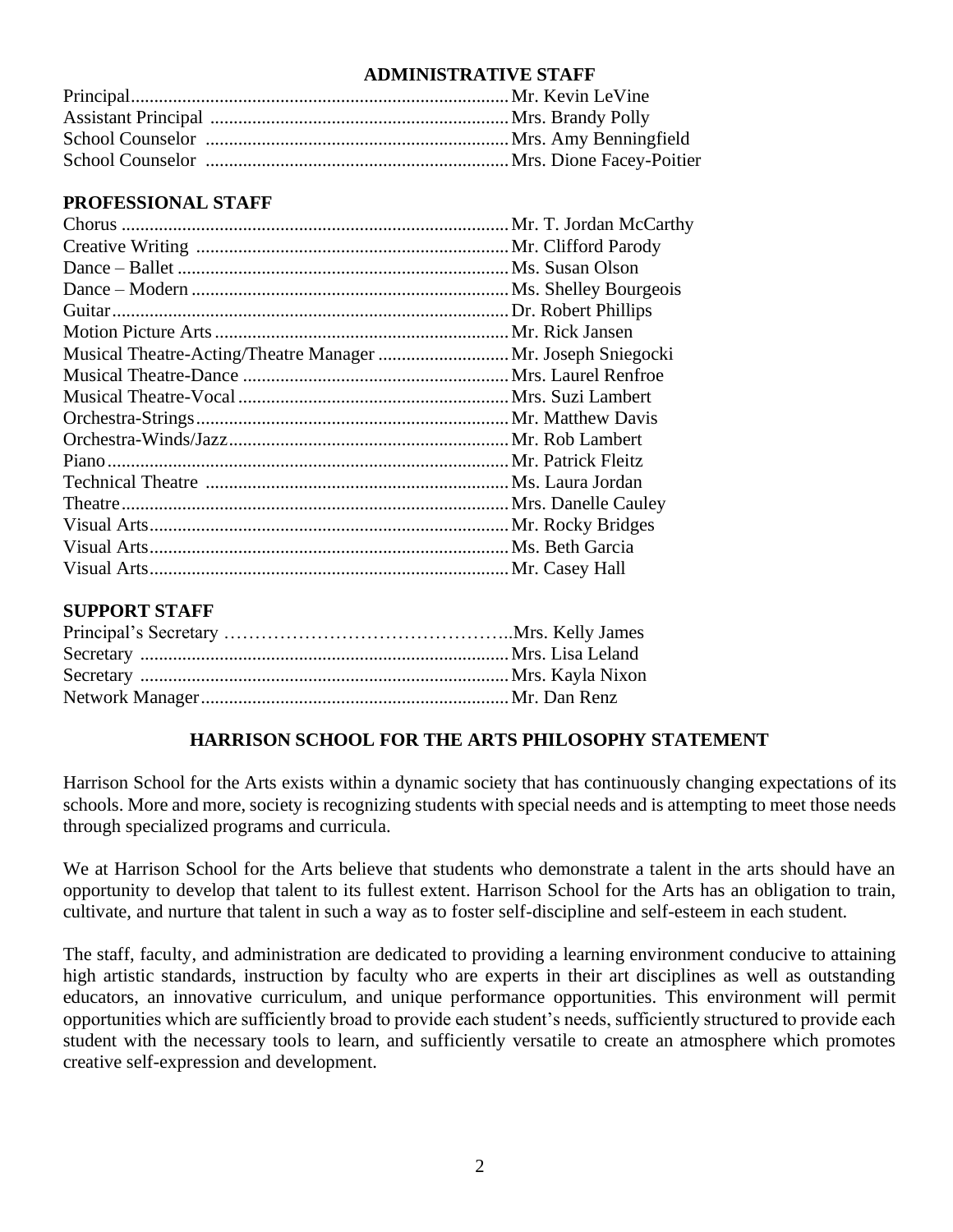#### **ADMINISTRATIVE STAFF**

## **PROFESSIONAL STAFF**

## **SUPPORT STAFF**

## **HARRISON SCHOOL FOR THE ARTS PHILOSOPHY STATEMENT**

Harrison School for the Arts exists within a dynamic society that has continuously changing expectations of its schools. More and more, society is recognizing students with special needs and is attempting to meet those needs through specialized programs and curricula.

We at Harrison School for the Arts believe that students who demonstrate a talent in the arts should have an opportunity to develop that talent to its fullest extent. Harrison School for the Arts has an obligation to train, cultivate, and nurture that talent in such a way as to foster self-discipline and self-esteem in each student.

The staff, faculty, and administration are dedicated to providing a learning environment conducive to attaining high artistic standards, instruction by faculty who are experts in their art disciplines as well as outstanding educators, an innovative curriculum, and unique performance opportunities. This environment will permit opportunities which are sufficiently broad to provide each student's needs, sufficiently structured to provide each student with the necessary tools to learn, and sufficiently versatile to create an atmosphere which promotes creative self-expression and development.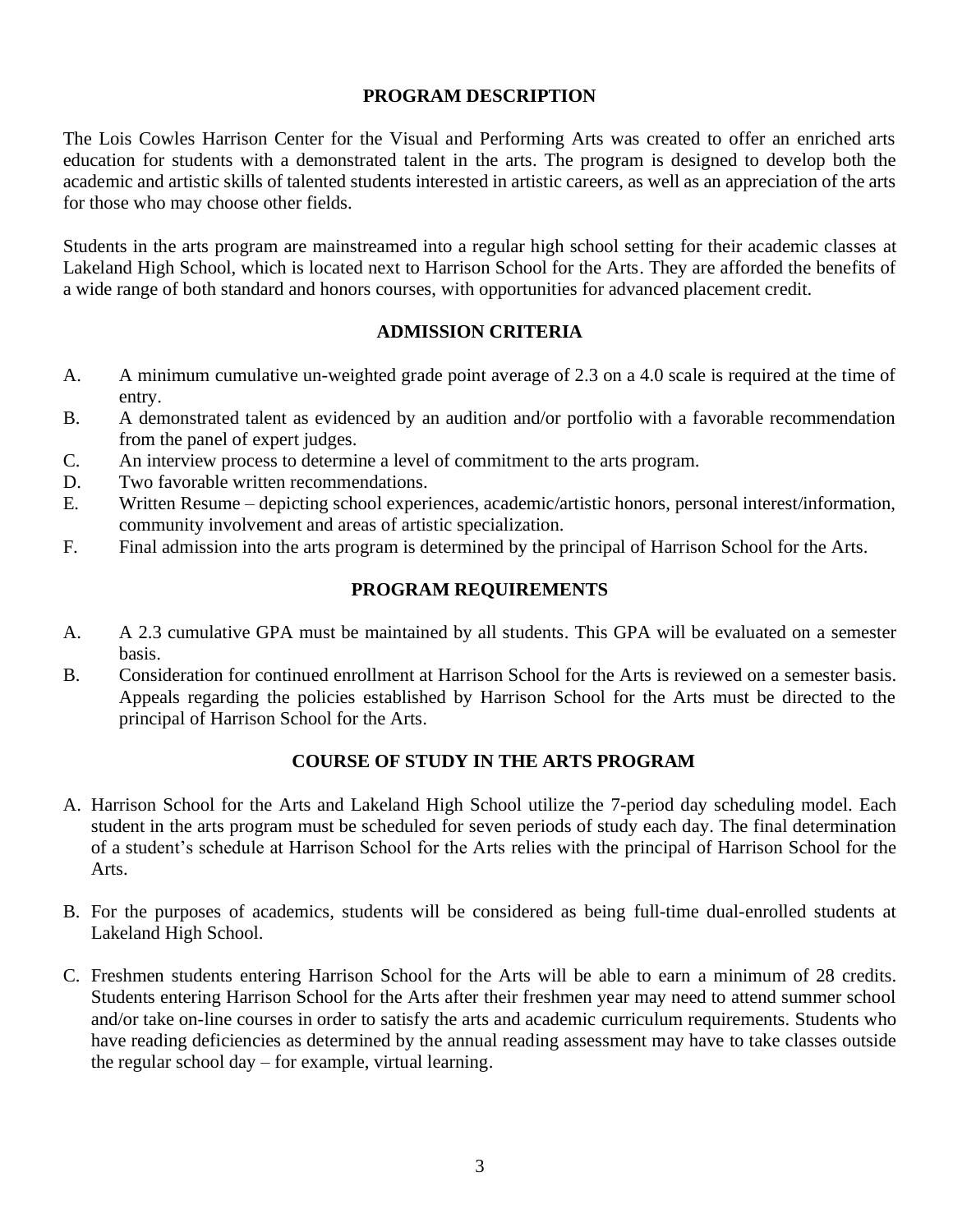## **PROGRAM DESCRIPTION**

The Lois Cowles Harrison Center for the Visual and Performing Arts was created to offer an enriched arts education for students with a demonstrated talent in the arts. The program is designed to develop both the academic and artistic skills of talented students interested in artistic careers, as well as an appreciation of the arts for those who may choose other fields.

Students in the arts program are mainstreamed into a regular high school setting for their academic classes at Lakeland High School, which is located next to Harrison School for the Arts. They are afforded the benefits of a wide range of both standard and honors courses, with opportunities for advanced placement credit.

#### **ADMISSION CRITERIA**

- A. A minimum cumulative un-weighted grade point average of 2.3 on a 4.0 scale is required at the time of entry.
- B. A demonstrated talent as evidenced by an audition and/or portfolio with a favorable recommendation from the panel of expert judges.
- C. An interview process to determine a level of commitment to the arts program.
- D. Two favorable written recommendations.
- E. Written Resume depicting school experiences, academic/artistic honors, personal interest/information, community involvement and areas of artistic specialization.
- F. Final admission into the arts program is determined by the principal of Harrison School for the Arts.

## **PROGRAM REQUIREMENTS**

- A. A 2.3 cumulative GPA must be maintained by all students. This GPA will be evaluated on a semester basis.
- B. Consideration for continued enrollment at Harrison School for the Arts is reviewed on a semester basis. Appeals regarding the policies established by Harrison School for the Arts must be directed to the principal of Harrison School for the Arts.

## **COURSE OF STUDY IN THE ARTS PROGRAM**

- A. Harrison School for the Arts and Lakeland High School utilize the 7-period day scheduling model. Each student in the arts program must be scheduled for seven periods of study each day. The final determination of a student's schedule at Harrison School for the Arts relies with the principal of Harrison School for the Arts.
- B. For the purposes of academics, students will be considered as being full-time dual-enrolled students at Lakeland High School.
- C. Freshmen students entering Harrison School for the Arts will be able to earn a minimum of 28 credits. Students entering Harrison School for the Arts after their freshmen year may need to attend summer school and/or take on-line courses in order to satisfy the arts and academic curriculum requirements. Students who have reading deficiencies as determined by the annual reading assessment may have to take classes outside the regular school day – for example, virtual learning.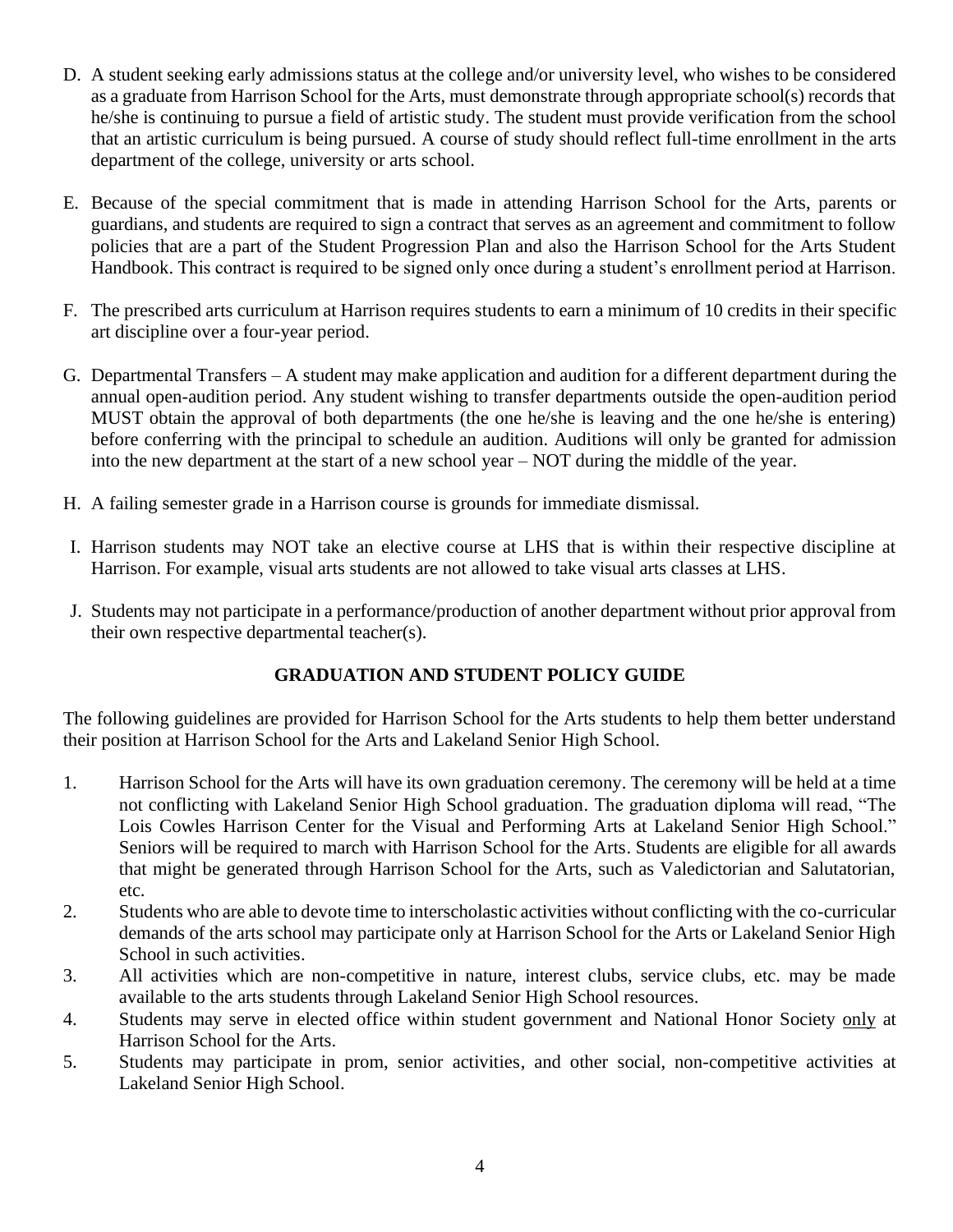- D. A student seeking early admissions status at the college and/or university level, who wishes to be considered as a graduate from Harrison School for the Arts, must demonstrate through appropriate school(s) records that he/she is continuing to pursue a field of artistic study. The student must provide verification from the school that an artistic curriculum is being pursued. A course of study should reflect full-time enrollment in the arts department of the college, university or arts school.
- E. Because of the special commitment that is made in attending Harrison School for the Arts, parents or guardians, and students are required to sign a contract that serves as an agreement and commitment to follow policies that are a part of the Student Progression Plan and also the Harrison School for the Arts Student Handbook. This contract is required to be signed only once during a student's enrollment period at Harrison.
- F. The prescribed arts curriculum at Harrison requires students to earn a minimum of 10 credits in their specific art discipline over a four-year period.
- G. Departmental Transfers A student may make application and audition for a different department during the annual open-audition period. Any student wishing to transfer departments outside the open-audition period MUST obtain the approval of both departments (the one he/she is leaving and the one he/she is entering) before conferring with the principal to schedule an audition. Auditions will only be granted for admission into the new department at the start of a new school year – NOT during the middle of the year.
- H. A failing semester grade in a Harrison course is grounds for immediate dismissal.
- I. Harrison students may NOT take an elective course at LHS that is within their respective discipline at Harrison. For example, visual arts students are not allowed to take visual arts classes at LHS.
- J. Students may not participate in a performance/production of another department without prior approval from their own respective departmental teacher(s).

# **GRADUATION AND STUDENT POLICY GUIDE**

The following guidelines are provided for Harrison School for the Arts students to help them better understand their position at Harrison School for the Arts and Lakeland Senior High School.

- 1. Harrison School for the Arts will have its own graduation ceremony. The ceremony will be held at a time not conflicting with Lakeland Senior High School graduation. The graduation diploma will read, "The Lois Cowles Harrison Center for the Visual and Performing Arts at Lakeland Senior High School." Seniors will be required to march with Harrison School for the Arts. Students are eligible for all awards that might be generated through Harrison School for the Arts, such as Valedictorian and Salutatorian, etc.
- 2. Students who are able to devote time to interscholastic activities without conflicting with the co-curricular demands of the arts school may participate only at Harrison School for the Arts or Lakeland Senior High School in such activities.
- 3. All activities which are non-competitive in nature, interest clubs, service clubs, etc. may be made available to the arts students through Lakeland Senior High School resources.
- 4. Students may serve in elected office within student government and National Honor Society only at Harrison School for the Arts.
- 5. Students may participate in prom, senior activities, and other social, non-competitive activities at Lakeland Senior High School.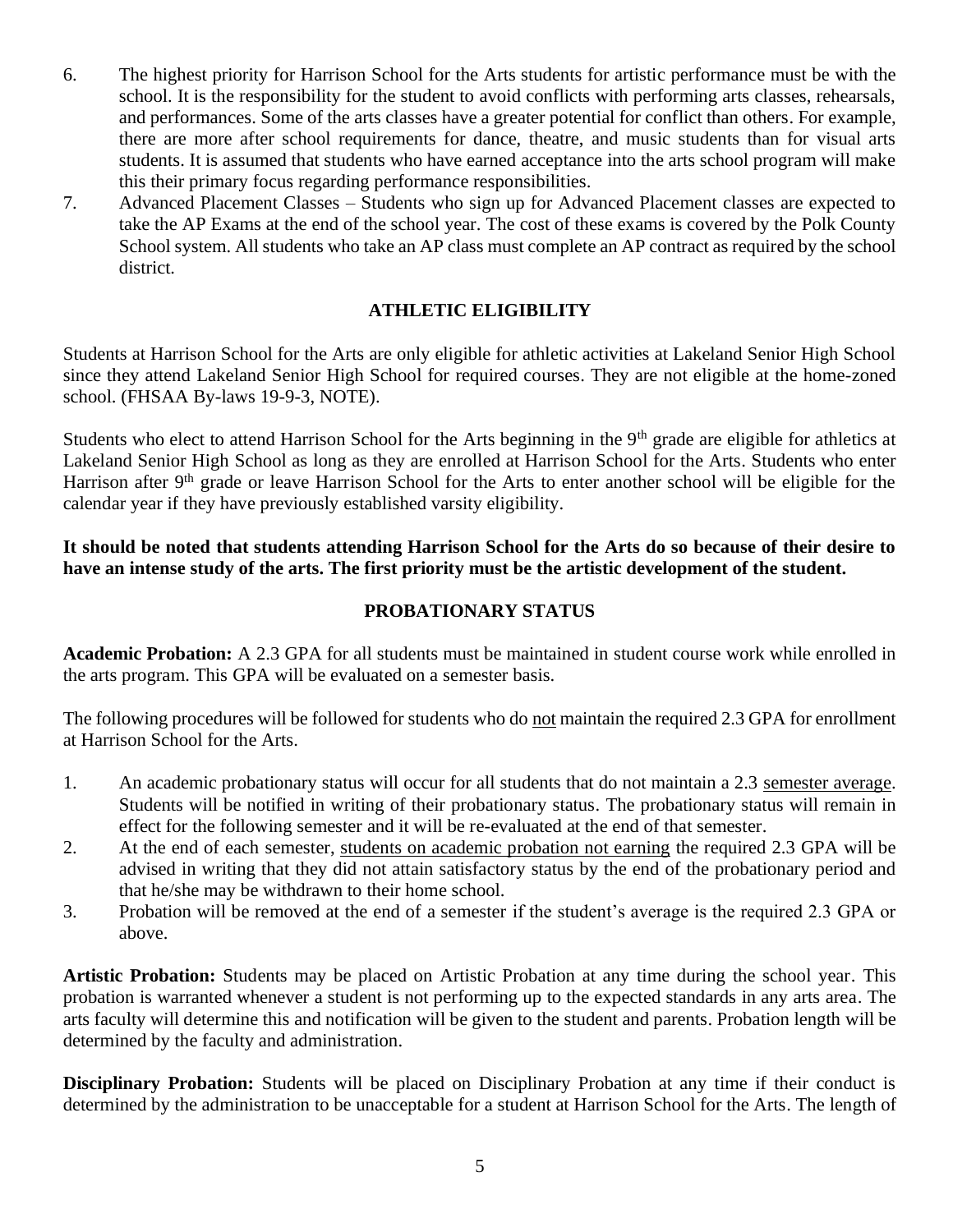- 6. The highest priority for Harrison School for the Arts students for artistic performance must be with the school. It is the responsibility for the student to avoid conflicts with performing arts classes, rehearsals, and performances. Some of the arts classes have a greater potential for conflict than others. For example, there are more after school requirements for dance, theatre, and music students than for visual arts students. It is assumed that students who have earned acceptance into the arts school program will make this their primary focus regarding performance responsibilities.
- 7. Advanced Placement Classes Students who sign up for Advanced Placement classes are expected to take the AP Exams at the end of the school year. The cost of these exams is covered by the Polk County School system. All students who take an AP class must complete an AP contract as required by the school district.

## **ATHLETIC ELIGIBILITY**

Students at Harrison School for the Arts are only eligible for athletic activities at Lakeland Senior High School since they attend Lakeland Senior High School for required courses. They are not eligible at the home-zoned school. (FHSAA By-laws 19-9-3, NOTE).

Students who elect to attend Harrison School for the Arts beginning in the 9<sup>th</sup> grade are eligible for athletics at Lakeland Senior High School as long as they are enrolled at Harrison School for the Arts. Students who enter Harrison after 9<sup>th</sup> grade or leave Harrison School for the Arts to enter another school will be eligible for the calendar year if they have previously established varsity eligibility.

**It should be noted that students attending Harrison School for the Arts do so because of their desire to have an intense study of the arts. The first priority must be the artistic development of the student.**

## **PROBATIONARY STATUS**

**Academic Probation:** A 2.3 GPA for all students must be maintained in student course work while enrolled in the arts program. This GPA will be evaluated on a semester basis.

The following procedures will be followed for students who do not maintain the required 2.3 GPA for enrollment at Harrison School for the Arts.

- 1. An academic probationary status will occur for all students that do not maintain a 2.3 semester average. Students will be notified in writing of their probationary status. The probationary status will remain in effect for the following semester and it will be re-evaluated at the end of that semester.
- 2. At the end of each semester, students on academic probation not earning the required 2.3 GPA will be advised in writing that they did not attain satisfactory status by the end of the probationary period and that he/she may be withdrawn to their home school.
- 3. Probation will be removed at the end of a semester if the student's average is the required 2.3 GPA or above.

**Artistic Probation:** Students may be placed on Artistic Probation at any time during the school year. This probation is warranted whenever a student is not performing up to the expected standards in any arts area. The arts faculty will determine this and notification will be given to the student and parents. Probation length will be determined by the faculty and administration.

**Disciplinary Probation:** Students will be placed on Disciplinary Probation at any time if their conduct is determined by the administration to be unacceptable for a student at Harrison School for the Arts. The length of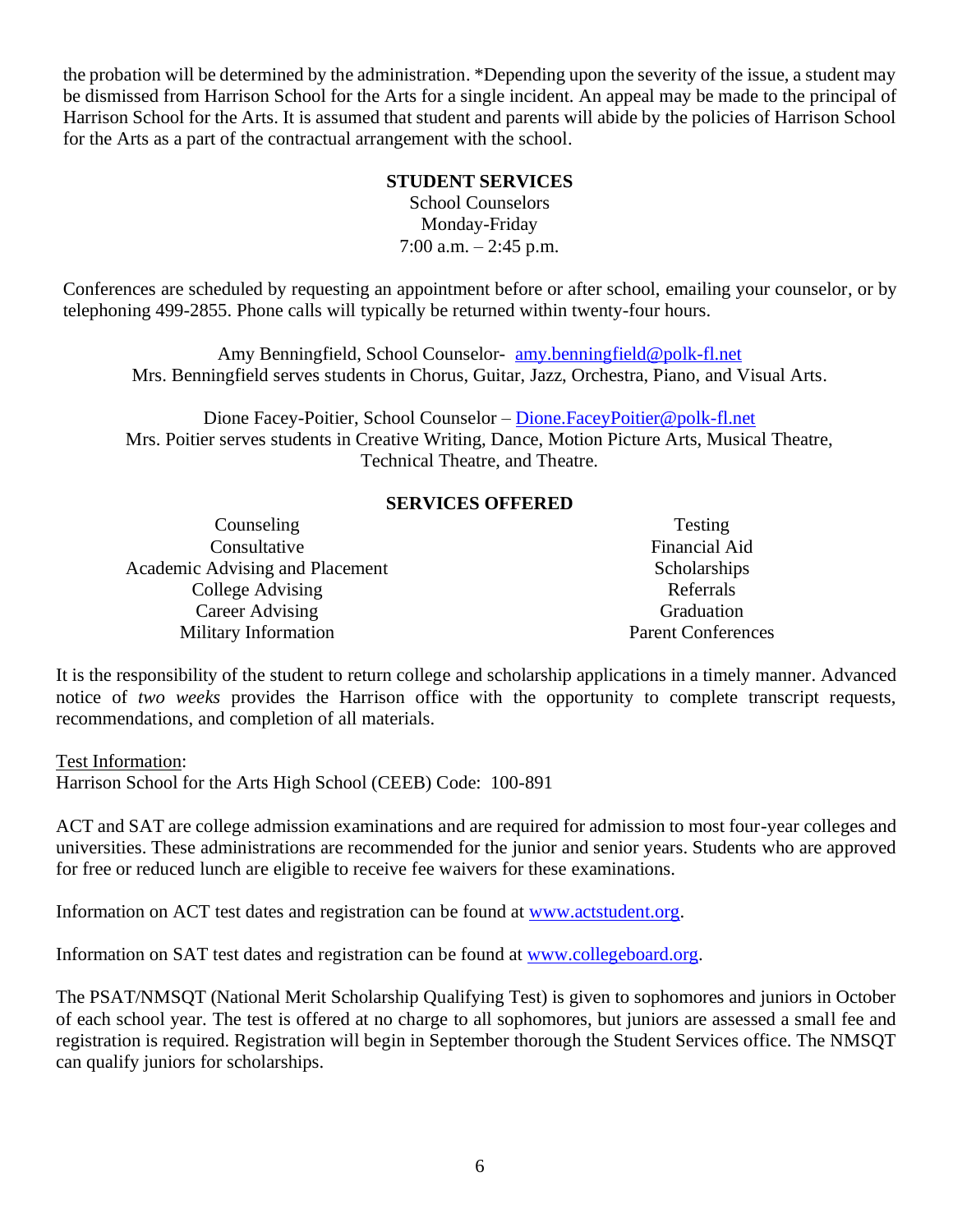the probation will be determined by the administration. \*Depending upon the severity of the issue, a student may be dismissed from Harrison School for the Arts for a single incident. An appeal may be made to the principal of Harrison School for the Arts. It is assumed that student and parents will abide by the policies of Harrison School for the Arts as a part of the contractual arrangement with the school.

#### **STUDENT SERVICES**

School Counselors Monday-Friday 7:00 a.m.  $-2:45$  p.m.

Conferences are scheduled by requesting an appointment before or after school, emailing your counselor, or by telephoning 499-2855. Phone calls will typically be returned within twenty-four hours.

Amy Benningfield, School Counselor- [amy.benningfield@polk-fl.net](mailto:amy.benningfield@polk-fl.net) Mrs. Benningfield serves students in Chorus, Guitar, Jazz, Orchestra, Piano, and Visual Arts.

Dione Facey-Poitier, School Counselor – [Dione.FaceyPoitier@polk-fl.net](mailto:Dione.FaceyPoitier@polk-fl.net) Mrs. Poitier serves students in Creative Writing, Dance, Motion Picture Arts, Musical Theatre, Technical Theatre, and Theatre.

#### **SERVICES OFFERED**

Counseling Consultative Academic Advising and Placement College Advising Career Advising Military Information

Testing Financial Aid **Scholarships** Referrals Graduation Parent Conferences

It is the responsibility of the student to return college and scholarship applications in a timely manner. Advanced notice of *two weeks* provides the Harrison office with the opportunity to complete transcript requests, recommendations, and completion of all materials.

Test Information:

Harrison School for the Arts High School (CEEB) Code: 100-891

ACT and SAT are college admission examinations and are required for admission to most four-year colleges and universities. These administrations are recommended for the junior and senior years. Students who are approved for free or reduced lunch are eligible to receive fee waivers for these examinations.

Information on ACT test dates and registration can be found at [www.actstudent.org.](http://www.actstudent.org/)

Information on SAT test dates and registration can be found at [www.collegeboard.org.](http://www.collegeboard.org/)

The PSAT/NMSQT (National Merit Scholarship Qualifying Test) is given to sophomores and juniors in October of each school year. The test is offered at no charge to all sophomores, but juniors are assessed a small fee and registration is required. Registration will begin in September thorough the Student Services office. The NMSQT can qualify juniors for scholarships.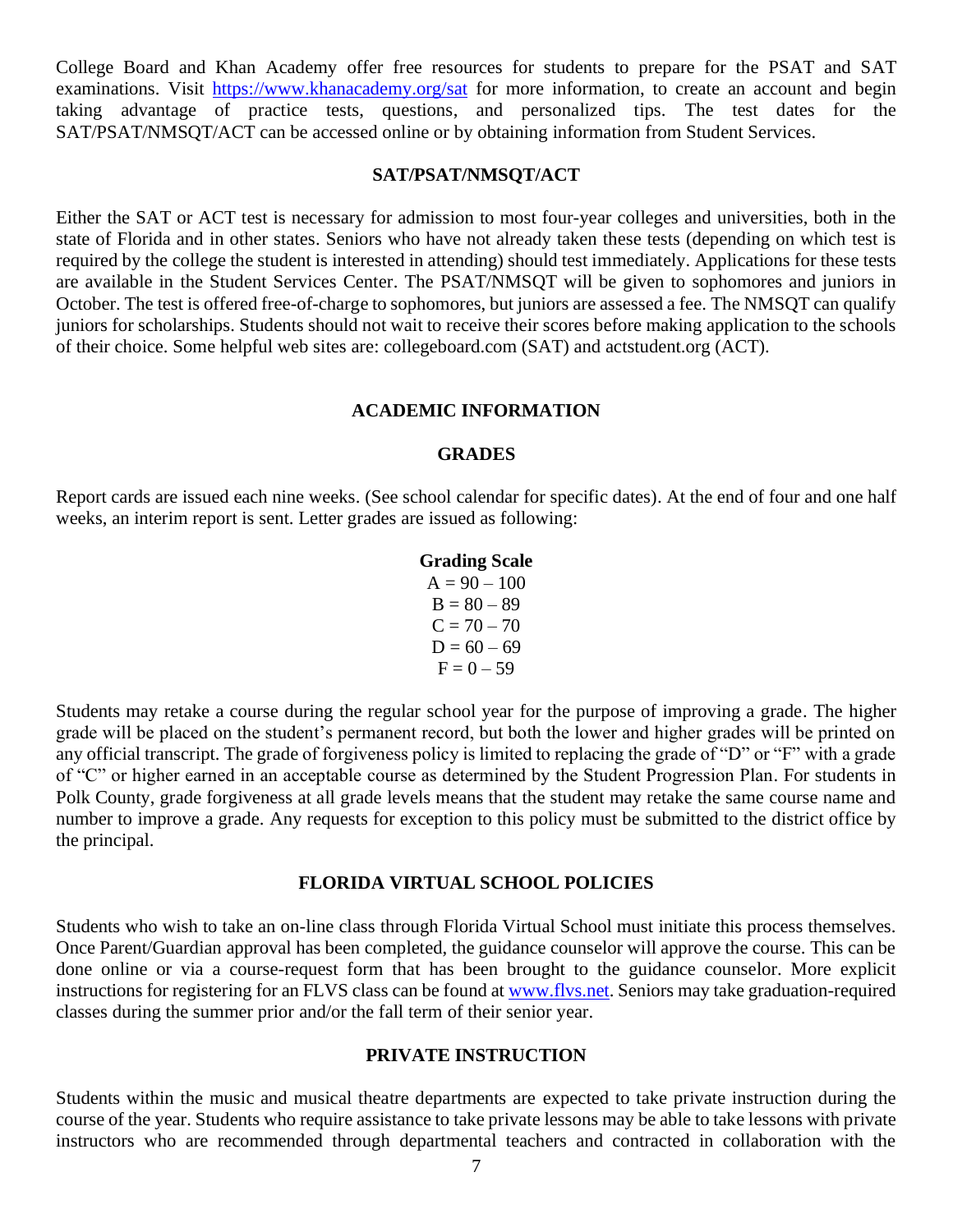College Board and Khan Academy offer free resources for students to prepare for the PSAT and SAT examinations. Visit<https://www.khanacademy.org/sat> for more information, to create an account and begin taking advantage of practice tests, questions, and personalized tips. The test dates for the SAT/PSAT/NMSQT/ACT can be accessed online or by obtaining information from Student Services.

#### **SAT/PSAT/NMSQT/ACT**

Either the SAT or ACT test is necessary for admission to most four-year colleges and universities, both in the state of Florida and in other states. Seniors who have not already taken these tests (depending on which test is required by the college the student is interested in attending) should test immediately. Applications for these tests are available in the Student Services Center. The PSAT/NMSQT will be given to sophomores and juniors in October. The test is offered free-of-charge to sophomores, but juniors are assessed a fee. The NMSQT can qualify juniors for scholarships. Students should not wait to receive their scores before making application to the schools of their choice. Some helpful web sites are: collegeboard.com (SAT) and actstudent.org (ACT).

#### **ACADEMIC INFORMATION**

#### **GRADES**

Report cards are issued each nine weeks. (See school calendar for specific dates). At the end of four and one half weeks, an interim report is sent. Letter grades are issued as following:

## **Grading Scale**  $A = 90 - 100$  $B = 80 - 89$  $C = 70 - 70$  $D = 60 - 69$  $F = 0 - 59$

Students may retake a course during the regular school year for the purpose of improving a grade. The higher grade will be placed on the student's permanent record, but both the lower and higher grades will be printed on any official transcript. The grade of forgiveness policy is limited to replacing the grade of "D" or "F" with a grade of "C" or higher earned in an acceptable course as determined by the Student Progression Plan. For students in Polk County, grade forgiveness at all grade levels means that the student may retake the same course name and number to improve a grade. Any requests for exception to this policy must be submitted to the district office by the principal.

#### **FLORIDA VIRTUAL SCHOOL POLICIES**

Students who wish to take an on-line class through Florida Virtual School must initiate this process themselves. Once Parent/Guardian approval has been completed, the guidance counselor will approve the course. This can be done online or via a course-request form that has been brought to the guidance counselor. More explicit instructions for registering for an FLVS class can be found a[t www.flvs.net.](http://www.flvs.net/) Seniors may take graduation-required classes during the summer prior and/or the fall term of their senior year.

#### **PRIVATE INSTRUCTION**

Students within the music and musical theatre departments are expected to take private instruction during the course of the year. Students who require assistance to take private lessons may be able to take lessons with private instructors who are recommended through departmental teachers and contracted in collaboration with the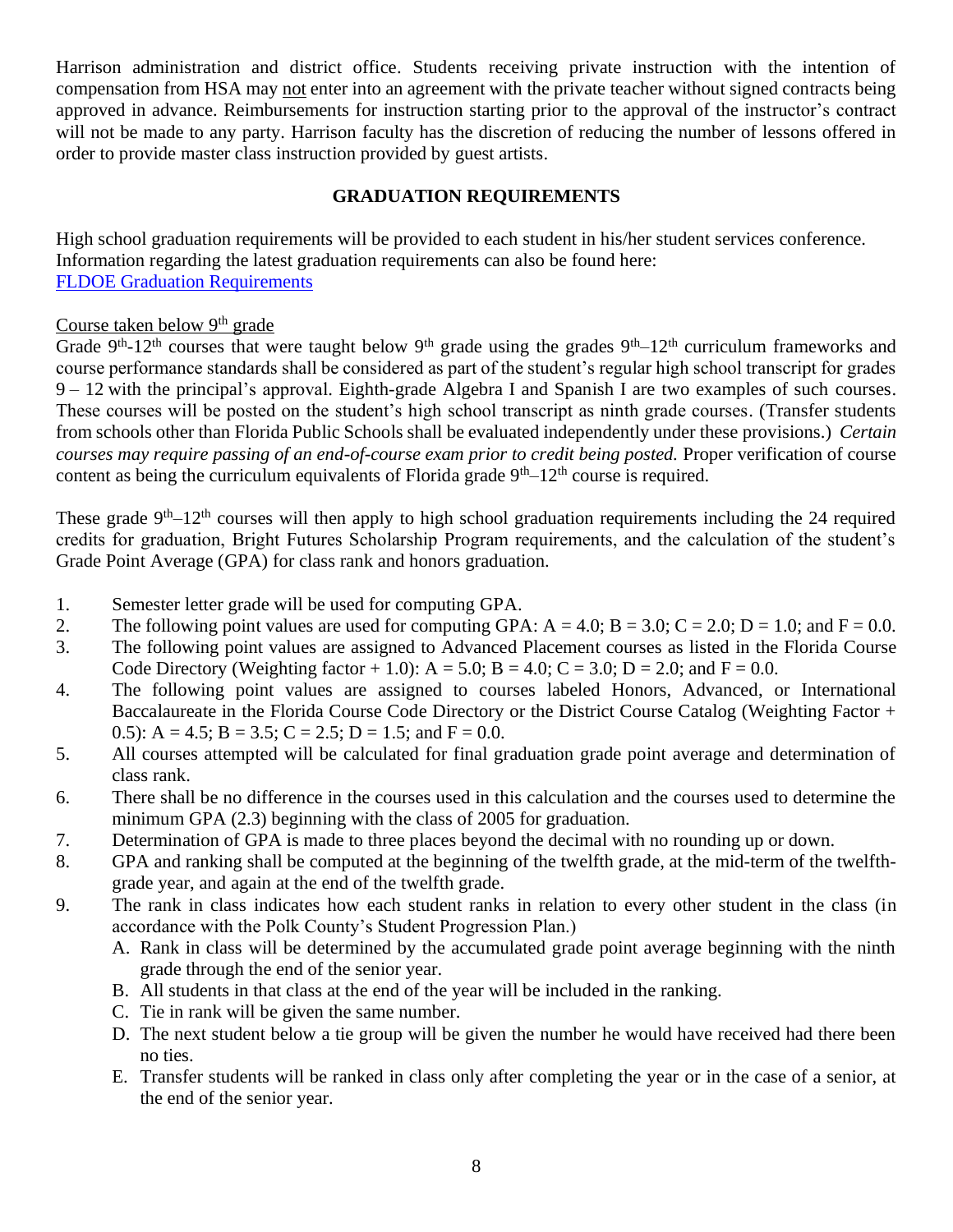Harrison administration and district office. Students receiving private instruction with the intention of compensation from HSA may not enter into an agreement with the private teacher without signed contracts being approved in advance. Reimbursements for instruction starting prior to the approval of the instructor's contract will not be made to any party. Harrison faculty has the discretion of reducing the number of lessons offered in order to provide master class instruction provided by guest artists.

## **GRADUATION REQUIREMENTS**

High school graduation requirements will be provided to each student in his/her student services conference. Information regarding the latest graduation requirements can also be found here: [FLDOE Graduation Requirements](https://www.fldoe.org/core/fileparse.php/7764/urlt/StandardDiplomaRequirements.pdf)

## Course taken below 9<sup>th</sup> grade

Grade  $9<sup>th</sup>$ -12<sup>th</sup> courses that were taught below  $9<sup>th</sup>$  grade using the grades  $9<sup>th</sup>$ -12<sup>th</sup> curriculum frameworks and course performance standards shall be considered as part of the student's regular high school transcript for grades 9 – 12 with the principal's approval. Eighth-grade Algebra I and Spanish I are two examples of such courses. These courses will be posted on the student's high school transcript as ninth grade courses. (Transfer students from schools other than Florida Public Schools shall be evaluated independently under these provisions.) *Certain courses may require passing of an end-of-course exam prior to credit being posted.* Proper verification of course content as being the curriculum equivalents of Florida grade  $9<sup>th</sup>-12<sup>th</sup>$  course is required.

These grade  $9<sup>th</sup>-12<sup>th</sup>$  courses will then apply to high school graduation requirements including the 24 required credits for graduation, Bright Futures Scholarship Program requirements, and the calculation of the student's Grade Point Average (GPA) for class rank and honors graduation.

- 1. Semester letter grade will be used for computing GPA.
- 2. The following point values are used for computing GPA:  $A = 4.0$ ;  $B = 3.0$ ;  $C = 2.0$ ;  $D = 1.0$ ; and  $F = 0.0$ .
- 3. The following point values are assigned to Advanced Placement courses as listed in the Florida Course Code Directory (Weighting factor + 1.0):  $A = 5.0$ ;  $B = 4.0$ ;  $C = 3.0$ ;  $D = 2.0$ ; and  $F = 0.0$ .
- 4. The following point values are assigned to courses labeled Honors, Advanced, or International Baccalaureate in the Florida Course Code Directory or the District Course Catalog (Weighting Factor + 0.5): A = 4.5; B = 3.5; C = 2.5; D = 1.5; and F = 0.0.
- 5. All courses attempted will be calculated for final graduation grade point average and determination of class rank.
- 6. There shall be no difference in the courses used in this calculation and the courses used to determine the minimum GPA (2.3) beginning with the class of 2005 for graduation.
- 7. Determination of GPA is made to three places beyond the decimal with no rounding up or down.
- 8. GPA and ranking shall be computed at the beginning of the twelfth grade, at the mid-term of the twelfthgrade year, and again at the end of the twelfth grade.
- 9. The rank in class indicates how each student ranks in relation to every other student in the class (in accordance with the Polk County's Student Progression Plan.)
	- A. Rank in class will be determined by the accumulated grade point average beginning with the ninth grade through the end of the senior year.
	- B. All students in that class at the end of the year will be included in the ranking.
	- C. Tie in rank will be given the same number.
	- D. The next student below a tie group will be given the number he would have received had there been no ties.
	- E. Transfer students will be ranked in class only after completing the year or in the case of a senior, at the end of the senior year.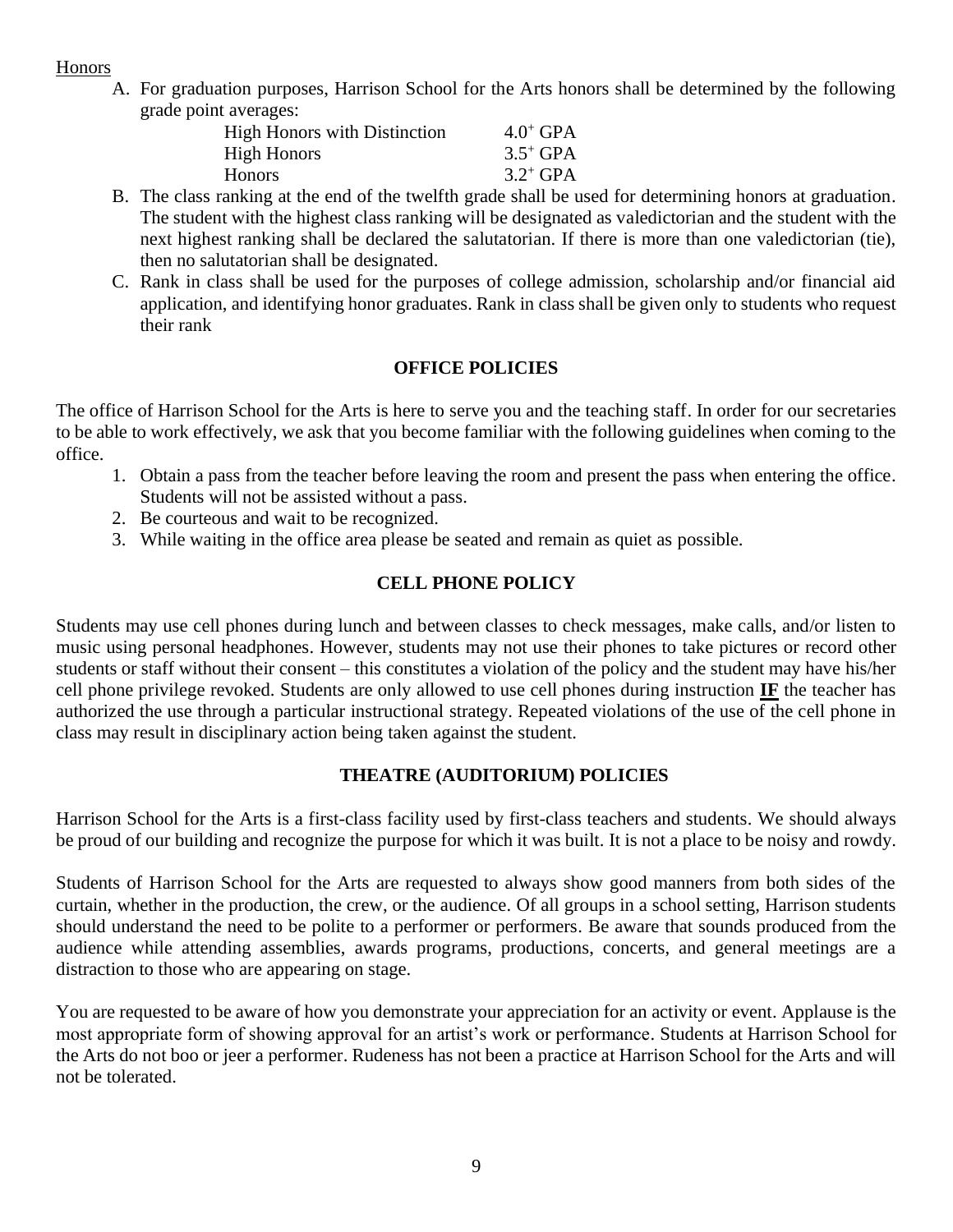## Honors

A. For graduation purposes, Harrison School for the Arts honors shall be determined by the following grade point averages:

| <b>High Honors with Distinction</b> | $4.0^+$ GPA |
|-------------------------------------|-------------|
| High Honors                         | $3.5^+$ GPA |
| <b>Honors</b>                       | $3.2^+$ GPA |

- B. The class ranking at the end of the twelfth grade shall be used for determining honors at graduation. The student with the highest class ranking will be designated as valedictorian and the student with the next highest ranking shall be declared the salutatorian. If there is more than one valedictorian (tie), then no salutatorian shall be designated.
- C. Rank in class shall be used for the purposes of college admission, scholarship and/or financial aid application, and identifying honor graduates. Rank in class shall be given only to students who request their rank

#### **OFFICE POLICIES**

The office of Harrison School for the Arts is here to serve you and the teaching staff. In order for our secretaries to be able to work effectively, we ask that you become familiar with the following guidelines when coming to the office.

- 1. Obtain a pass from the teacher before leaving the room and present the pass when entering the office. Students will not be assisted without a pass.
- 2. Be courteous and wait to be recognized.
- 3. While waiting in the office area please be seated and remain as quiet as possible.

## **CELL PHONE POLICY**

Students may use cell phones during lunch and between classes to check messages, make calls, and/or listen to music using personal headphones. However, students may not use their phones to take pictures or record other students or staff without their consent – this constitutes a violation of the policy and the student may have his/her cell phone privilege revoked. Students are only allowed to use cell phones during instruction **IF** the teacher has authorized the use through a particular instructional strategy. Repeated violations of the use of the cell phone in class may result in disciplinary action being taken against the student.

## **THEATRE (AUDITORIUM) POLICIES**

Harrison School for the Arts is a first-class facility used by first-class teachers and students. We should always be proud of our building and recognize the purpose for which it was built. It is not a place to be noisy and rowdy.

Students of Harrison School for the Arts are requested to always show good manners from both sides of the curtain, whether in the production, the crew, or the audience. Of all groups in a school setting, Harrison students should understand the need to be polite to a performer or performers. Be aware that sounds produced from the audience while attending assemblies, awards programs, productions, concerts, and general meetings are a distraction to those who are appearing on stage.

You are requested to be aware of how you demonstrate your appreciation for an activity or event. Applause is the most appropriate form of showing approval for an artist's work or performance. Students at Harrison School for the Arts do not boo or jeer a performer. Rudeness has not been a practice at Harrison School for the Arts and will not be tolerated.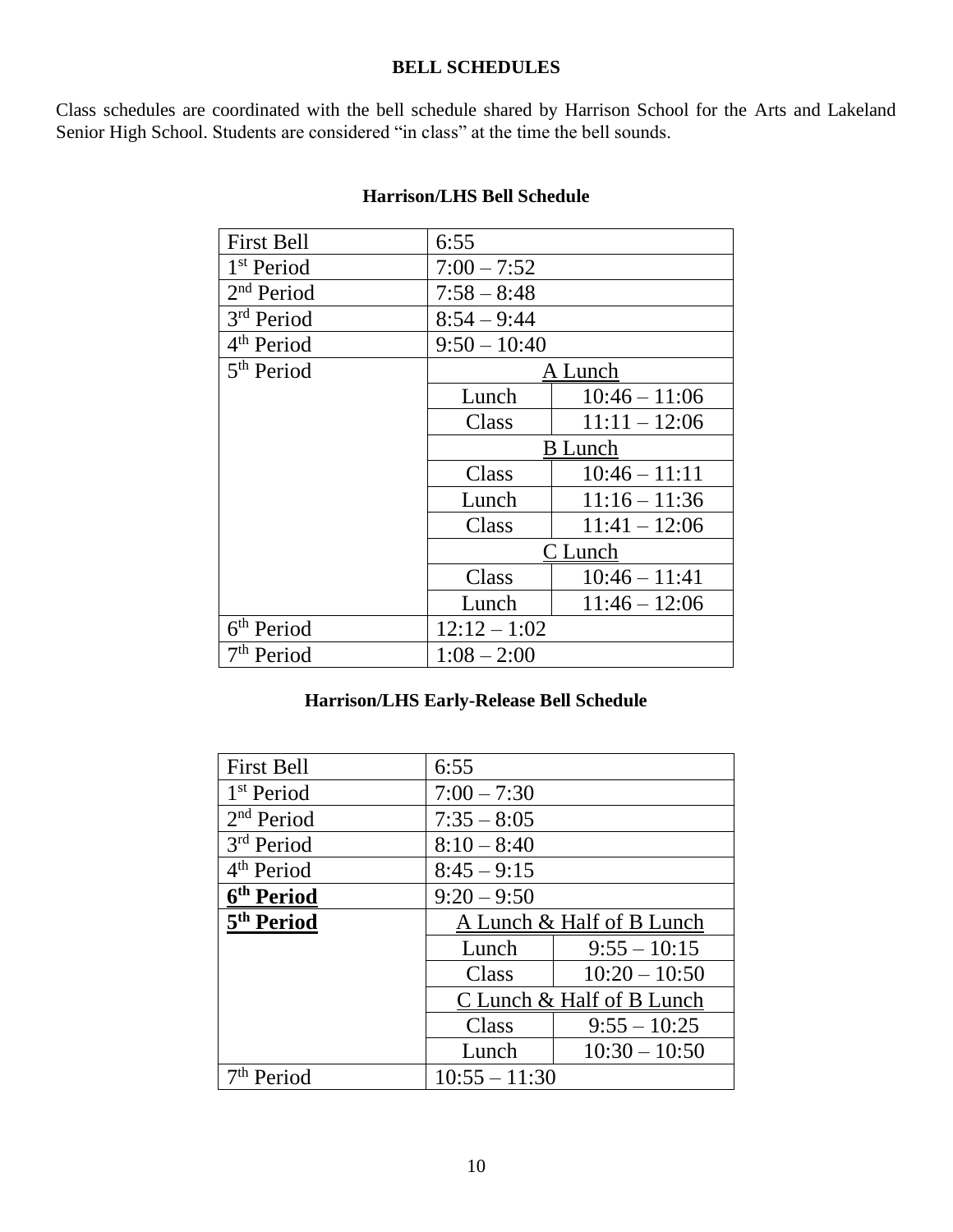## **BELL SCHEDULES**

Class schedules are coordinated with the bell schedule shared by Harrison School for the Arts and Lakeland Senior High School. Students are considered "in class" at the time the bell sounds.

| <b>First Bell</b>      | 6:55           |                 |
|------------------------|----------------|-----------------|
| 1 <sup>st</sup> Period | $7:00 - 7:52$  |                 |
| 2 <sup>nd</sup> Period | $7:58 - 8:48$  |                 |
| 3rd Period             | $8:54 - 9:44$  |                 |
| 4 <sup>th</sup> Period | $9:50 - 10:40$ |                 |
| 5 <sup>th</sup> Period | A Lunch        |                 |
|                        | Lunch          | $10:46 - 11:06$ |
|                        | Class          | $11:11 - 12:06$ |
|                        | <b>B</b> Lunch |                 |
|                        | Class          | $10:46 - 11:11$ |
|                        | Lunch          | $11:16 - 11:36$ |
|                        | Class          | $11:41 - 12:06$ |
|                        | C Lunch        |                 |
|                        | Class          | $10:46 - 11:41$ |
|                        | Lunch          | $11:46 - 12:06$ |
| 6 <sup>th</sup> Period | $12:12 - 1:02$ |                 |
| 7 <sup>th</sup> Period | $1:08 - 2:00$  |                 |

#### **Harrison/LHS Bell Schedule**

#### **Harrison/LHS Early-Release Bell Schedule**

| <b>First Bell</b>      | 6:55                      |                 |
|------------------------|---------------------------|-----------------|
| 1 <sup>st</sup> Period | $7:00 - 7:30$             |                 |
| 2 <sup>nd</sup> Period | $7:35 - 8:05$             |                 |
| 3rd Period             | $8:10 - 8:40$             |                 |
| 4 <sup>th</sup> Period | $8:45 - 9:15$             |                 |
| 6 <sup>th</sup> Period | $9:20 - 9:50$             |                 |
| 5 <sup>th</sup> Period | A Lunch & Half of B Lunch |                 |
|                        | Lunch                     | $9:55 - 10:15$  |
|                        | Class                     | $10:20 - 10:50$ |
|                        | C Lunch & Half of B Lunch |                 |
|                        | Class                     | $9:55 - 10:25$  |
|                        | Lunch                     | $10:30 - 10:50$ |
| 7 <sup>th</sup> Period | $10:55 - 11:30$           |                 |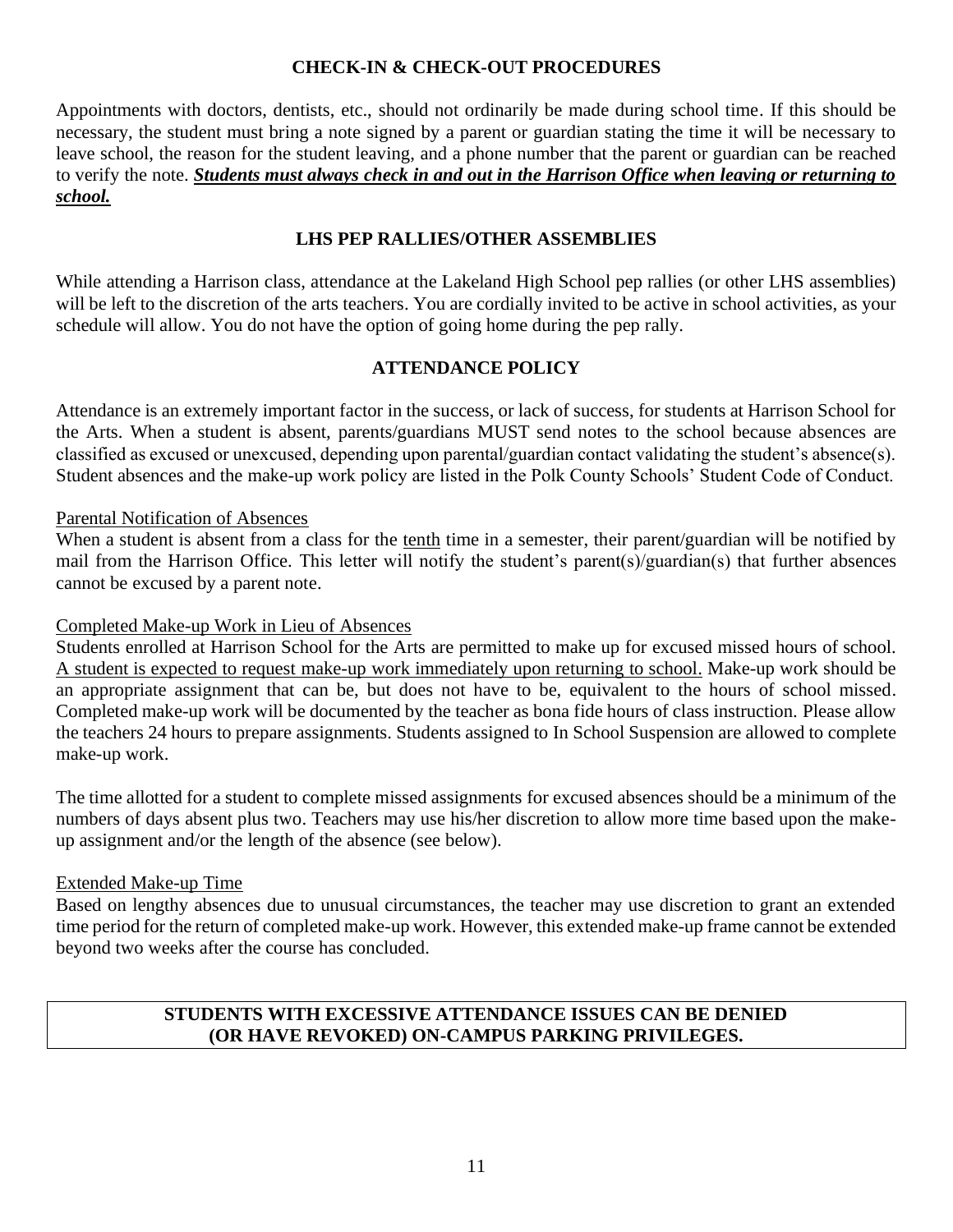## **CHECK-IN & CHECK-OUT PROCEDURES**

Appointments with doctors, dentists, etc., should not ordinarily be made during school time. If this should be necessary, the student must bring a note signed by a parent or guardian stating the time it will be necessary to leave school, the reason for the student leaving, and a phone number that the parent or guardian can be reached to verify the note. *Students must always check in and out in the Harrison Office when leaving or returning to school.*

## **LHS PEP RALLIES/OTHER ASSEMBLIES**

While attending a Harrison class, attendance at the Lakeland High School pep rallies (or other LHS assemblies) will be left to the discretion of the arts teachers. You are cordially invited to be active in school activities, as your schedule will allow. You do not have the option of going home during the pep rally.

### **ATTENDANCE POLICY**

Attendance is an extremely important factor in the success, or lack of success, for students at Harrison School for the Arts. When a student is absent, parents/guardians MUST send notes to the school because absences are classified as excused or unexcused, depending upon parental/guardian contact validating the student's absence(s). Student absences and the make-up work policy are listed in the Polk County Schools' Student Code of Conduct.

#### Parental Notification of Absences

When a student is absent from a class for the tenth time in a semester, their parent/guardian will be notified by mail from the Harrison Office. This letter will notify the student's parent(s)/guardian(s) that further absences cannot be excused by a parent note.

#### Completed Make-up Work in Lieu of Absences

Students enrolled at Harrison School for the Arts are permitted to make up for excused missed hours of school. A student is expected to request make-up work immediately upon returning to school. Make-up work should be an appropriate assignment that can be, but does not have to be, equivalent to the hours of school missed. Completed make-up work will be documented by the teacher as bona fide hours of class instruction. Please allow the teachers 24 hours to prepare assignments. Students assigned to In School Suspension are allowed to complete make-up work.

The time allotted for a student to complete missed assignments for excused absences should be a minimum of the numbers of days absent plus two. Teachers may use his/her discretion to allow more time based upon the makeup assignment and/or the length of the absence (see below).

#### Extended Make-up Time

Based on lengthy absences due to unusual circumstances, the teacher may use discretion to grant an extended time period for the return of completed make-up work. However, this extended make-up frame cannot be extended beyond two weeks after the course has concluded.

## **STUDENTS WITH EXCESSIVE ATTENDANCE ISSUES CAN BE DENIED (OR HAVE REVOKED) ON-CAMPUS PARKING PRIVILEGES.**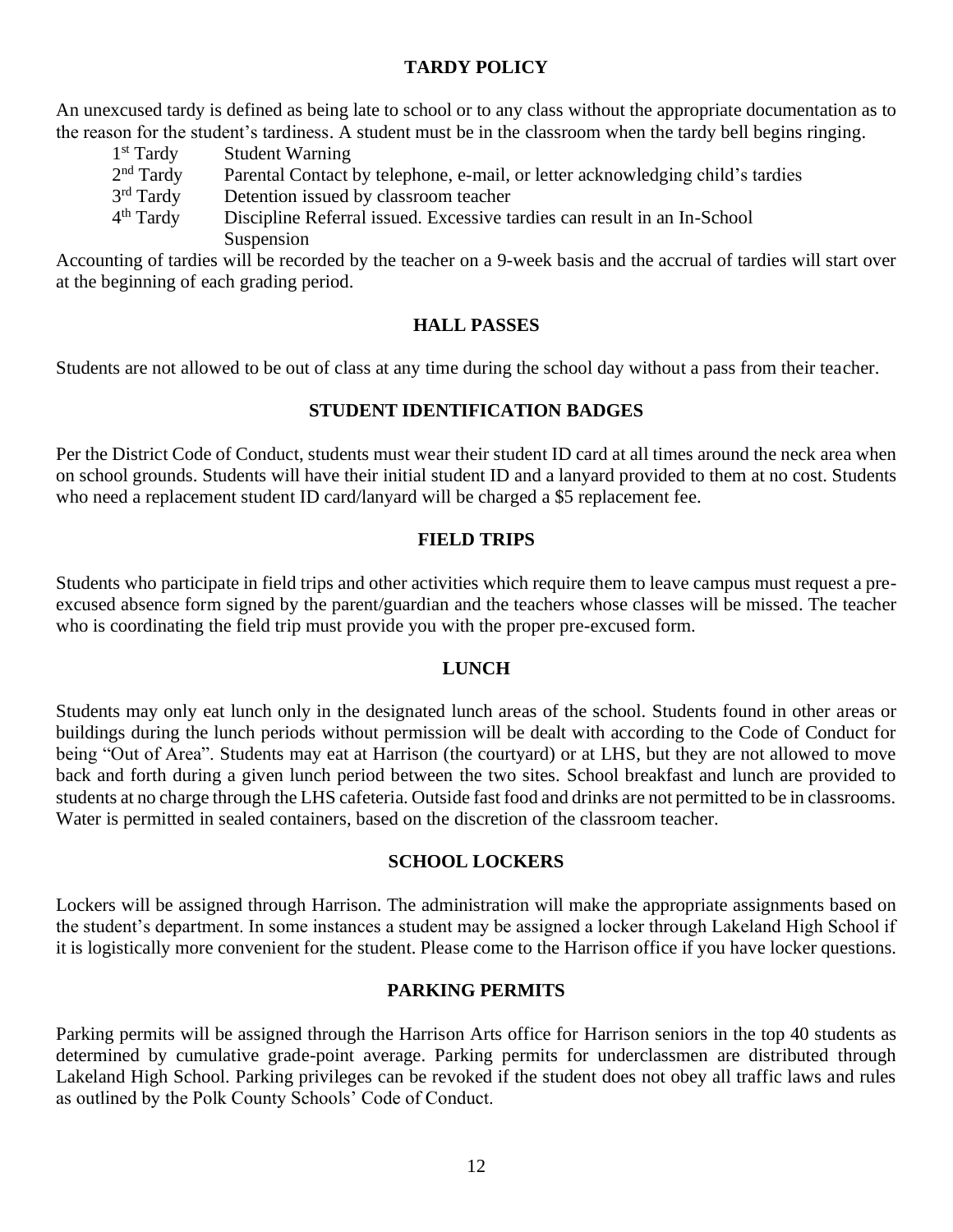## **TARDY POLICY**

An unexcused tardy is defined as being late to school or to any class without the appropriate documentation as to the reason for the student's tardiness. A student must be in the classroom when the tardy bell begins ringing.

1<sup>st</sup> Tardy Student Warning  $2<sup>nd</sup>$  Tardy Parental Contact by telephone, e-mail, or letter acknowledging child's tardies 3rd Tardy Detention issued by classroom teacher 4<sup>th</sup> Tardy Discipline Referral issued. Excessive tardies can result in an In-School Suspension

Accounting of tardies will be recorded by the teacher on a 9-week basis and the accrual of tardies will start over at the beginning of each grading period.

## **HALL PASSES**

Students are not allowed to be out of class at any time during the school day without a pass from their teacher.

## **STUDENT IDENTIFICATION BADGES**

Per the District Code of Conduct, students must wear their student ID card at all times around the neck area when on school grounds. Students will have their initial student ID and a lanyard provided to them at no cost. Students who need a replacement student ID card/lanyard will be charged a \$5 replacement fee.

## **FIELD TRIPS**

Students who participate in field trips and other activities which require them to leave campus must request a preexcused absence form signed by the parent/guardian and the teachers whose classes will be missed. The teacher who is coordinating the field trip must provide you with the proper pre-excused form.

## **LUNCH**

Students may only eat lunch only in the designated lunch areas of the school. Students found in other areas or buildings during the lunch periods without permission will be dealt with according to the Code of Conduct for being "Out of Area". Students may eat at Harrison (the courtyard) or at LHS, but they are not allowed to move back and forth during a given lunch period between the two sites. School breakfast and lunch are provided to students at no charge through the LHS cafeteria. Outside fast food and drinks are not permitted to be in classrooms. Water is permitted in sealed containers, based on the discretion of the classroom teacher.

## **SCHOOL LOCKERS**

Lockers will be assigned through Harrison. The administration will make the appropriate assignments based on the student's department. In some instances a student may be assigned a locker through Lakeland High School if it is logistically more convenient for the student. Please come to the Harrison office if you have locker questions.

## **PARKING PERMITS**

Parking permits will be assigned through the Harrison Arts office for Harrison seniors in the top 40 students as determined by cumulative grade-point average. Parking permits for underclassmen are distributed through Lakeland High School. Parking privileges can be revoked if the student does not obey all traffic laws and rules as outlined by the Polk County Schools' Code of Conduct.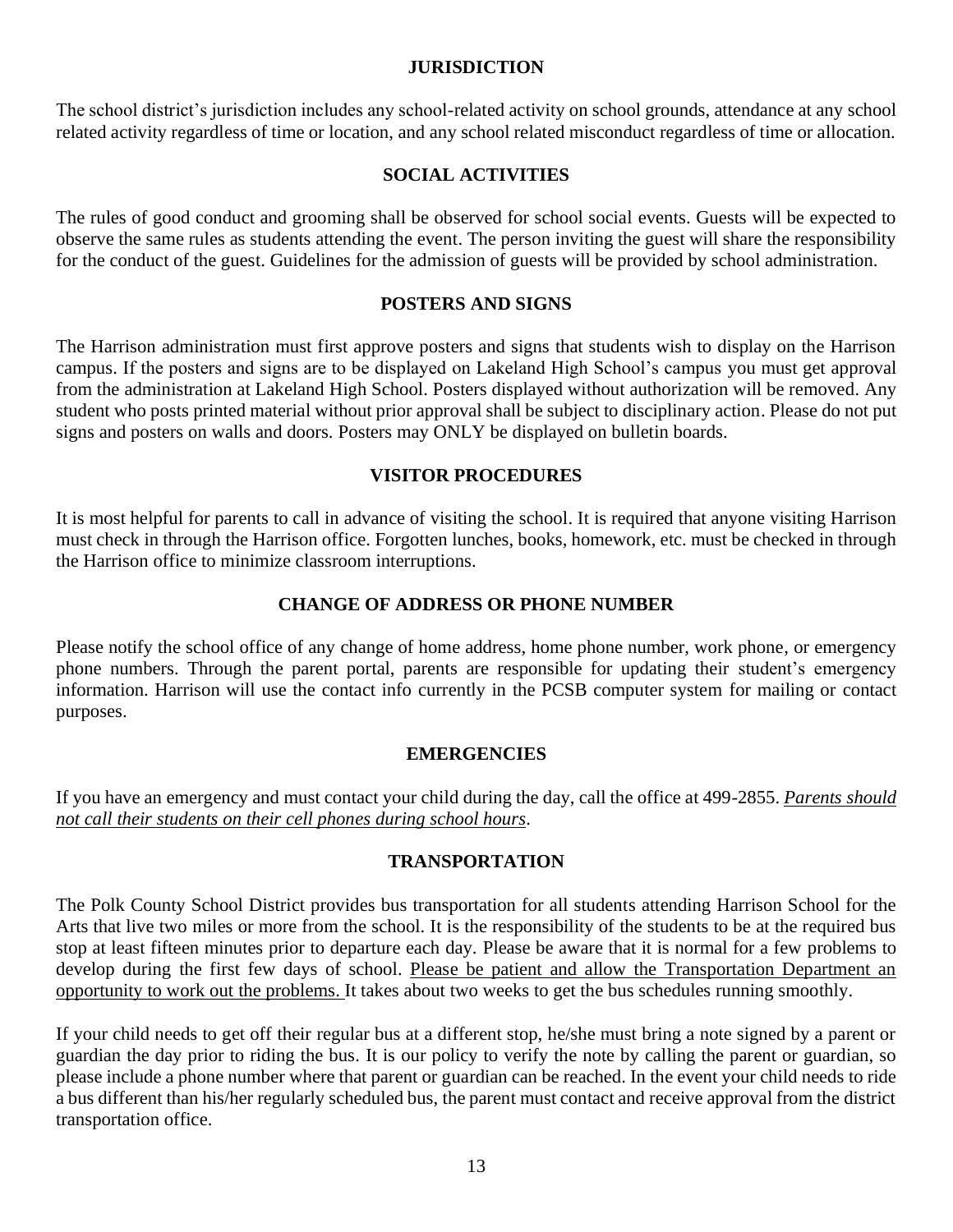#### **JURISDICTION**

The school district's jurisdiction includes any school-related activity on school grounds, attendance at any school related activity regardless of time or location, and any school related misconduct regardless of time or allocation.

## **SOCIAL ACTIVITIES**

The rules of good conduct and grooming shall be observed for school social events. Guests will be expected to observe the same rules as students attending the event. The person inviting the guest will share the responsibility for the conduct of the guest. Guidelines for the admission of guests will be provided by school administration.

#### **POSTERS AND SIGNS**

The Harrison administration must first approve posters and signs that students wish to display on the Harrison campus. If the posters and signs are to be displayed on Lakeland High School's campus you must get approval from the administration at Lakeland High School. Posters displayed without authorization will be removed. Any student who posts printed material without prior approval shall be subject to disciplinary action. Please do not put signs and posters on walls and doors. Posters may ONLY be displayed on bulletin boards.

#### **VISITOR PROCEDURES**

It is most helpful for parents to call in advance of visiting the school. It is required that anyone visiting Harrison must check in through the Harrison office. Forgotten lunches, books, homework, etc. must be checked in through the Harrison office to minimize classroom interruptions.

#### **CHANGE OF ADDRESS OR PHONE NUMBER**

Please notify the school office of any change of home address, home phone number, work phone, or emergency phone numbers. Through the parent portal, parents are responsible for updating their student's emergency information. Harrison will use the contact info currently in the PCSB computer system for mailing or contact purposes.

#### **EMERGENCIES**

If you have an emergency and must contact your child during the day, call the office at 499-2855. *Parents should not call their students on their cell phones during school hours*.

#### **TRANSPORTATION**

The Polk County School District provides bus transportation for all students attending Harrison School for the Arts that live two miles or more from the school. It is the responsibility of the students to be at the required bus stop at least fifteen minutes prior to departure each day. Please be aware that it is normal for a few problems to develop during the first few days of school. Please be patient and allow the Transportation Department an opportunity to work out the problems. It takes about two weeks to get the bus schedules running smoothly.

If your child needs to get off their regular bus at a different stop, he/she must bring a note signed by a parent or guardian the day prior to riding the bus. It is our policy to verify the note by calling the parent or guardian, so please include a phone number where that parent or guardian can be reached. In the event your child needs to ride a bus different than his/her regularly scheduled bus, the parent must contact and receive approval from the district transportation office.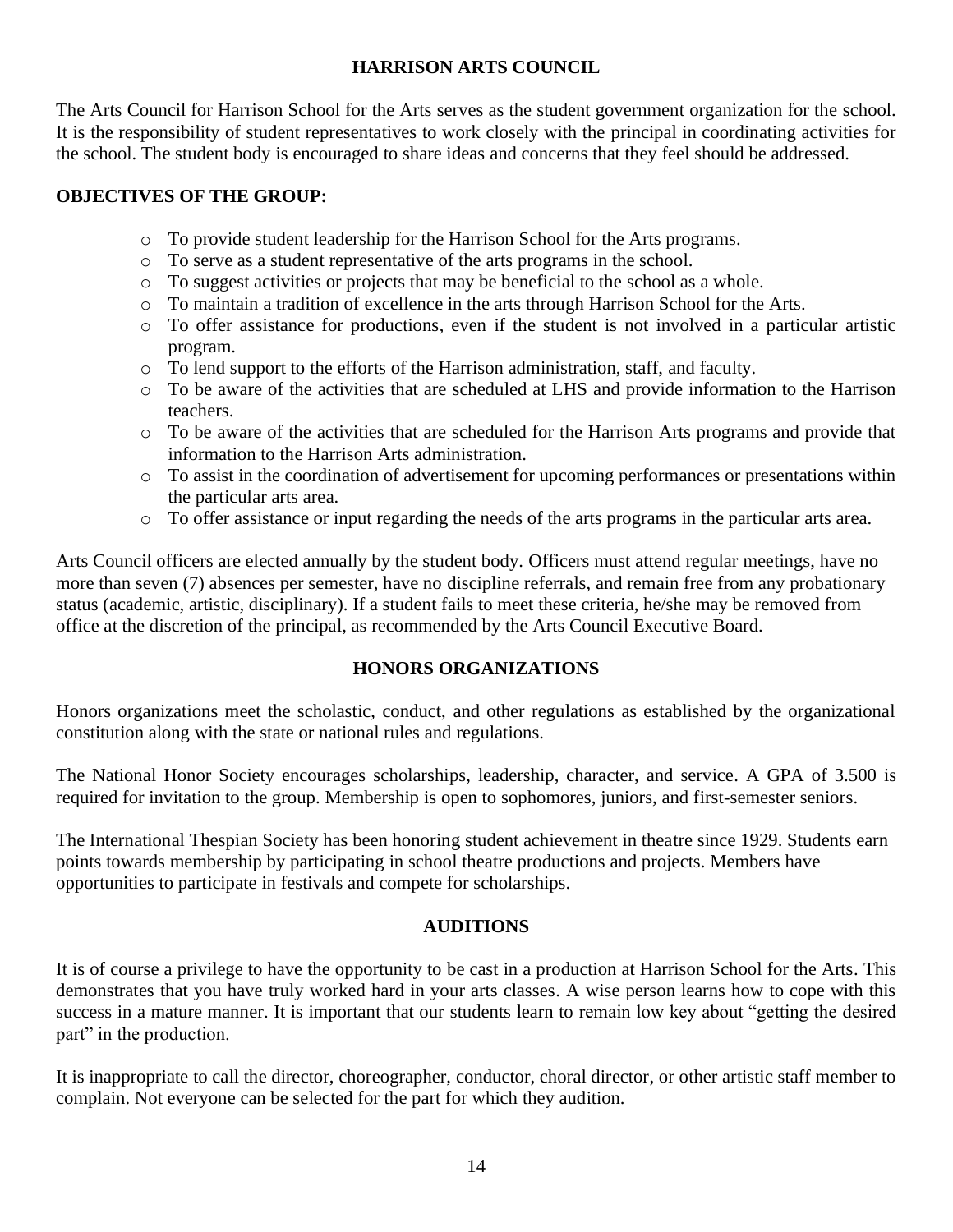# **HARRISON ARTS COUNCIL**

The Arts Council for Harrison School for the Arts serves as the student government organization for the school. It is the responsibility of student representatives to work closely with the principal in coordinating activities for the school. The student body is encouraged to share ideas and concerns that they feel should be addressed.

## **OBJECTIVES OF THE GROUP:**

- o To provide student leadership for the Harrison School for the Arts programs.
- o To serve as a student representative of the arts programs in the school.
- o To suggest activities or projects that may be beneficial to the school as a whole.
- o To maintain a tradition of excellence in the arts through Harrison School for the Arts.
- o To offer assistance for productions, even if the student is not involved in a particular artistic program.
- o To lend support to the efforts of the Harrison administration, staff, and faculty.
- o To be aware of the activities that are scheduled at LHS and provide information to the Harrison teachers.
- o To be aware of the activities that are scheduled for the Harrison Arts programs and provide that information to the Harrison Arts administration.
- o To assist in the coordination of advertisement for upcoming performances or presentations within the particular arts area.
- o To offer assistance or input regarding the needs of the arts programs in the particular arts area.

Arts Council officers are elected annually by the student body. Officers must attend regular meetings, have no more than seven (7) absences per semester, have no discipline referrals, and remain free from any probationary status (academic, artistic, disciplinary). If a student fails to meet these criteria, he/she may be removed from office at the discretion of the principal, as recommended by the Arts Council Executive Board.

## **HONORS ORGANIZATIONS**

Honors organizations meet the scholastic, conduct, and other regulations as established by the organizational constitution along with the state or national rules and regulations.

The National Honor Society encourages scholarships, leadership, character, and service. A GPA of 3.500 is required for invitation to the group. Membership is open to sophomores, juniors, and first-semester seniors.

The International Thespian Society has been honoring student achievement in theatre since 1929. Students earn points towards membership by participating in school theatre productions and projects. Members have opportunities to participate in festivals and compete for scholarships.

## **AUDITIONS**

It is of course a privilege to have the opportunity to be cast in a production at Harrison School for the Arts. This demonstrates that you have truly worked hard in your arts classes. A wise person learns how to cope with this success in a mature manner. It is important that our students learn to remain low key about "getting the desired part" in the production.

It is inappropriate to call the director, choreographer, conductor, choral director, or other artistic staff member to complain. Not everyone can be selected for the part for which they audition.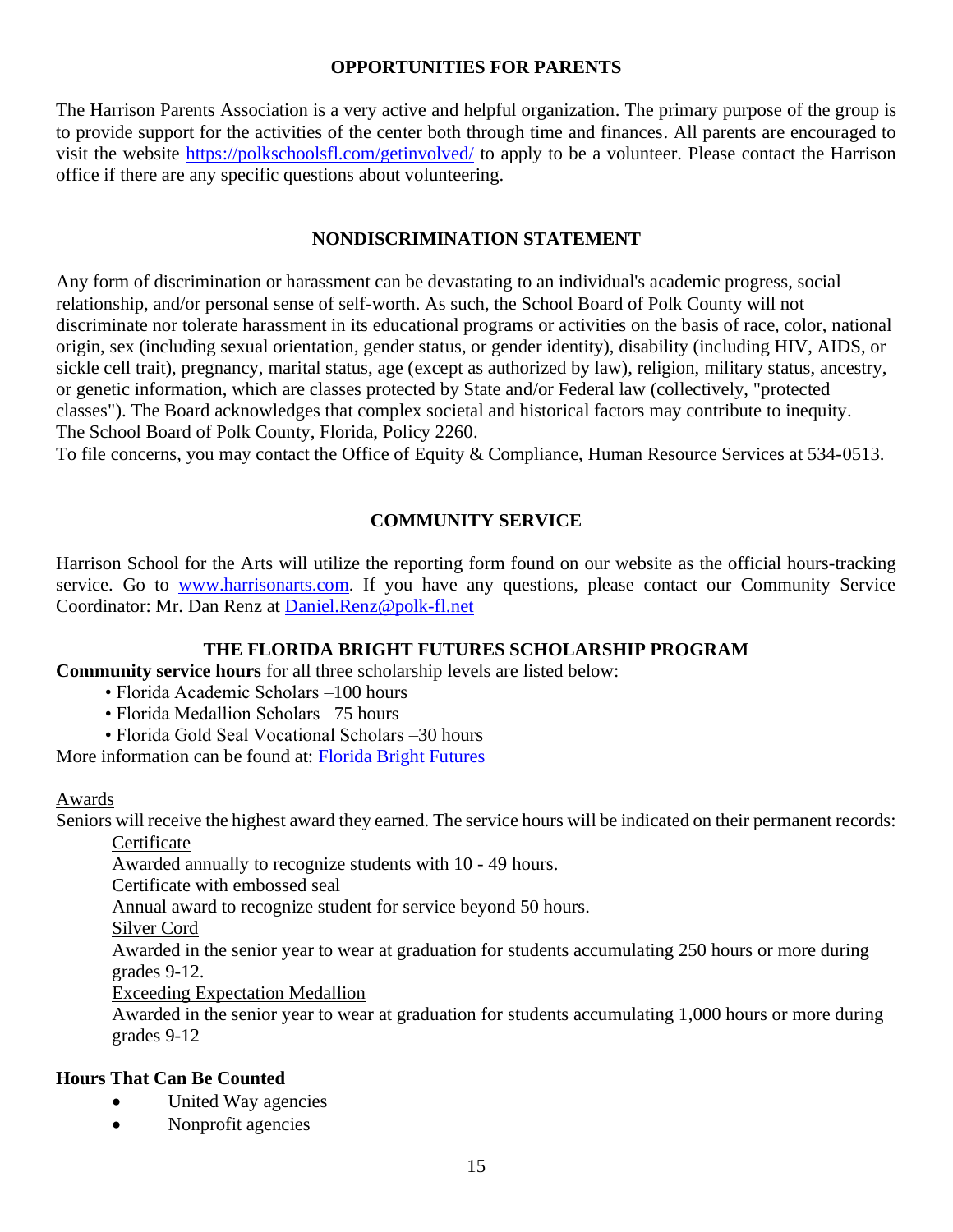## **OPPORTUNITIES FOR PARENTS**

The Harrison Parents Association is a very active and helpful organization. The primary purpose of the group is to provide support for the activities of the center both through time and finances. All parents are encouraged to visit the website<https://polkschoolsfl.com/getinvolved/> to apply to be a volunteer. Please contact the Harrison office if there are any specific questions about volunteering.

# **NONDISCRIMINATION STATEMENT**

Any form of discrimination or harassment can be devastating to an individual's academic progress, social relationship, and/or personal sense of self-worth. As such, the School Board of Polk County will not discriminate nor tolerate harassment in its educational programs or activities on the basis of race, color, national origin, sex (including sexual orientation, gender status, or gender identity), disability (including HIV, AIDS, or sickle cell trait), pregnancy, marital status, age (except as authorized by law), religion, military status, ancestry, or genetic information, which are classes protected by State and/or Federal law (collectively, "protected classes"). The Board acknowledges that complex societal and historical factors may contribute to inequity. The School Board of Polk County, Florida, Policy 2260.

To file concerns, you may contact the Office of Equity & Compliance, Human Resource Services at 534-0513.

# **COMMUNITY SERVICE**

Harrison School for the Arts will utilize the reporting form found on our website as the official hours-tracking service. Go to [www.harrisonarts.com.](http://www.harrisonarts.com/) If you have any questions, please contact our Community Service Coordinator: Mr. Dan Renz at [Daniel.Renz@polk-fl.net](mailto:Daniel.Renz@polk-fl.net)

# **THE FLORIDA BRIGHT FUTURES SCHOLARSHIP PROGRAM**

**Community service hours** for all three scholarship levels are listed below:

- Florida Academic Scholars –100 hours
- Florida Medallion Scholars –75 hours
- Florida Gold Seal Vocational Scholars –30 hours

More information can be found at: [Florida Bright Futures](http://www.floridastudentfinancialaid.org/SSFAD/bf/)

## Awards

Seniors will receive the highest award they earned. The service hours will be indicated on their permanent records:

**Certificate** 

Awarded annually to recognize students with 10 - 49 hours.

Certificate with embossed seal

Annual award to recognize student for service beyond 50 hours.

Silver Cord

Awarded in the senior year to wear at graduation for students accumulating 250 hours or more during grades 9-12.

Exceeding Expectation Medallion

Awarded in the senior year to wear at graduation for students accumulating 1,000 hours or more during grades 9-12

# **Hours That Can Be Counted**

- United Way agencies
- Nonprofit agencies